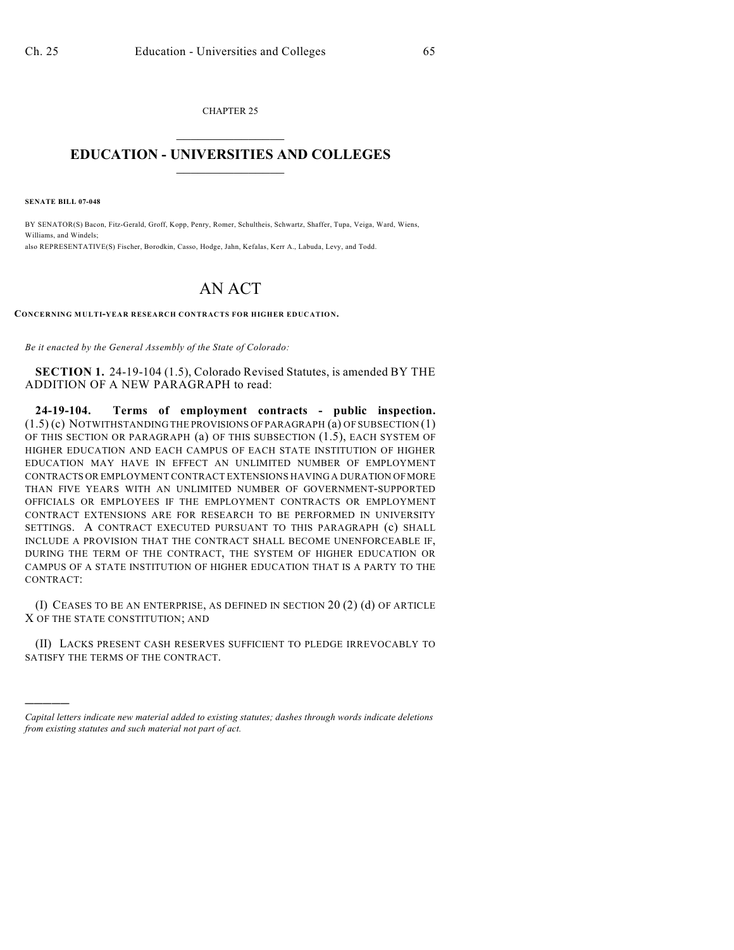CHAPTER 25  $\mathcal{L}_\text{max}$  . The set of the set of the set of the set of the set of the set of the set of the set of the set of the set of the set of the set of the set of the set of the set of the set of the set of the set of the set

## **EDUCATION - UNIVERSITIES AND COLLEGES**  $\frac{1}{2}$  ,  $\frac{1}{2}$  ,  $\frac{1}{2}$  ,  $\frac{1}{2}$  ,  $\frac{1}{2}$  ,  $\frac{1}{2}$  ,  $\frac{1}{2}$

**SENATE BILL 07-048**

)))))

BY SENATOR(S) Bacon, Fitz-Gerald, Groff, Kopp, Penry, Romer, Schultheis, Schwartz, Shaffer, Tupa, Veiga, Ward, Wiens, Williams, and Windels; also REPRESENTATIVE(S) Fischer, Borodkin, Casso, Hodge, Jahn, Kefalas, Kerr A., Labuda, Levy, and Todd.

## AN ACT

**CONCERNING MULTI-YEAR RESEARCH CONTRACTS FOR HIGHER EDUCATION.**

*Be it enacted by the General Assembly of the State of Colorado:*

**SECTION 1.** 24-19-104 (1.5), Colorado Revised Statutes, is amended BY THE ADDITION OF A NEW PARAGRAPH to read:

**24-19-104. Terms of employment contracts - public inspection.** (1.5) (c) NOTWITHSTANDING THE PROVISIONS OF PARAGRAPH (a) OF SUBSECTION (1) OF THIS SECTION OR PARAGRAPH (a) OF THIS SUBSECTION (1.5), EACH SYSTEM OF HIGHER EDUCATION AND EACH CAMPUS OF EACH STATE INSTITUTION OF HIGHER EDUCATION MAY HAVE IN EFFECT AN UNLIMITED NUMBER OF EMPLOYMENT CONTRACTS OR EMPLOYMENT CONTRACT EXTENSIONS HAVING A DURATION OF MORE THAN FIVE YEARS WITH AN UNLIMITED NUMBER OF GOVERNMENT-SUPPORTED OFFICIALS OR EMPLOYEES IF THE EMPLOYMENT CONTRACTS OR EMPLOYMENT CONTRACT EXTENSIONS ARE FOR RESEARCH TO BE PERFORMED IN UNIVERSITY SETTINGS. A CONTRACT EXECUTED PURSUANT TO THIS PARAGRAPH (c) SHALL INCLUDE A PROVISION THAT THE CONTRACT SHALL BECOME UNENFORCEABLE IF, DURING THE TERM OF THE CONTRACT, THE SYSTEM OF HIGHER EDUCATION OR CAMPUS OF A STATE INSTITUTION OF HIGHER EDUCATION THAT IS A PARTY TO THE CONTRACT:

(I) CEASES TO BE AN ENTERPRISE, AS DEFINED IN SECTION 20 (2) (d) OF ARTICLE X OF THE STATE CONSTITUTION; AND

(II) LACKS PRESENT CASH RESERVES SUFFICIENT TO PLEDGE IRREVOCABLY TO SATISFY THE TERMS OF THE CONTRACT.

*Capital letters indicate new material added to existing statutes; dashes through words indicate deletions from existing statutes and such material not part of act.*